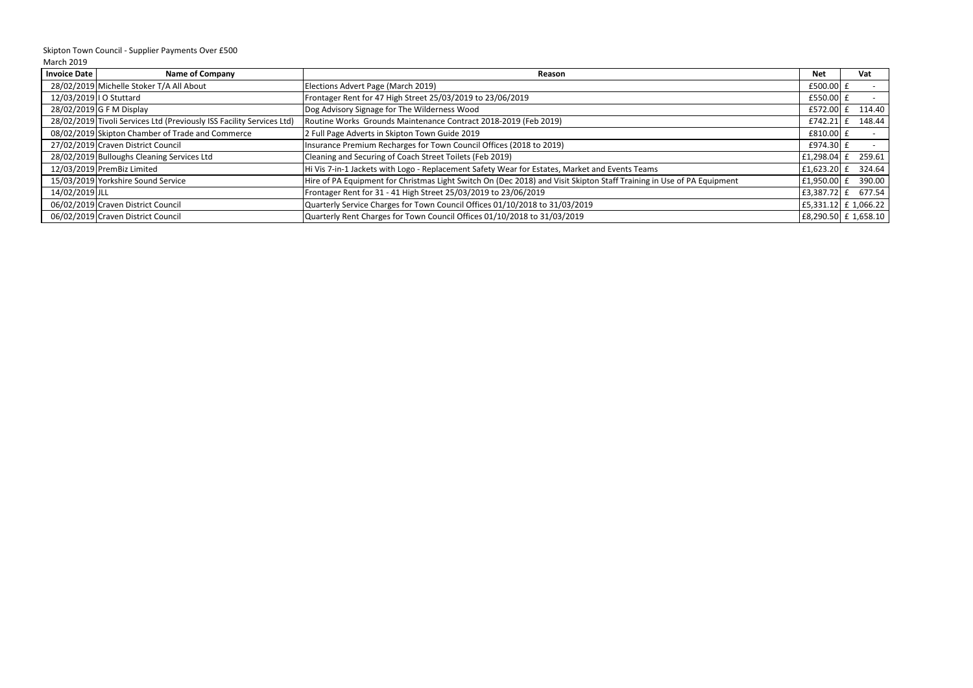| <b>Invoice Date</b> | <b>Name of Company</b>                                                | Reason                                                                                                                | <b>Net</b>   | Vat                  |
|---------------------|-----------------------------------------------------------------------|-----------------------------------------------------------------------------------------------------------------------|--------------|----------------------|
|                     | 28/02/2019 Michelle Stoker T/A All About                              | Elections Advert Page (March 2019)                                                                                    | £500.00 £    |                      |
|                     | 12/03/2019   O Stuttard                                               | Frontager Rent for 47 High Street 25/03/2019 to 23/06/2019                                                            | $E$ 550.00 £ |                      |
|                     | $28/02/2019$ G F M Display                                            | Dog Advisory Signage for The Wilderness Wood                                                                          | £572.00      | 114.40               |
|                     | 28/02/2019 Tivoli Services Ltd (Previously ISS Facility Services Ltd) | Routine Works Grounds Maintenance Contract 2018-2019 (Feb 2019)                                                       | £742.21      | 148.44               |
|                     | 08/02/2019 Skipton Chamber of Trade and Commerce                      | 2 Full Page Adverts in Skipton Town Guide 2019                                                                        | $£810.00$ £  |                      |
|                     | 27/02/2019 Craven District Council                                    | Insurance Premium Recharges for Town Council Offices (2018 to 2019)                                                   | £974.30 £    |                      |
|                     | 28/02/2019 Bulloughs Cleaning Services Ltd                            | Cleaning and Securing of Coach Street Toilets (Feb 2019)                                                              | £1,298.04 £  | 259.61               |
|                     | 12/03/2019 PremBiz Limited                                            | Hi Vis 7-in-1 Jackets with Logo - Replacement Safety Wear for Estates, Market and Events Teams                        | £1,623.20 £  | 324.64               |
|                     | 15/03/2019 Yorkshire Sound Service                                    | Hire of PA Equipment for Christmas Light Switch On (Dec 2018) and Visit Skipton Staff Training in Use of PA Equipment | £1,950.00 £  | 390.00               |
| 14/02/2019 JLL      |                                                                       | Frontager Rent for 31 - 41 High Street 25/03/2019 to 23/06/2019                                                       | £3,387.72 £  | 677.54               |
|                     | 06/02/2019 Craven District Council                                    | Quarterly Service Charges for Town Council Offices 01/10/2018 to 31/03/2019                                           |              | E5,331.12 £ 1,066.22 |
|                     | 06/02/2019 Craven District Council                                    | Quarterly Rent Charges for Town Council Offices 01/10/2018 to 31/03/2019                                              |              | £8,290.50 £ 1,658.10 |

March 2019 Skipton Town Council - Supplier Payments Over £500